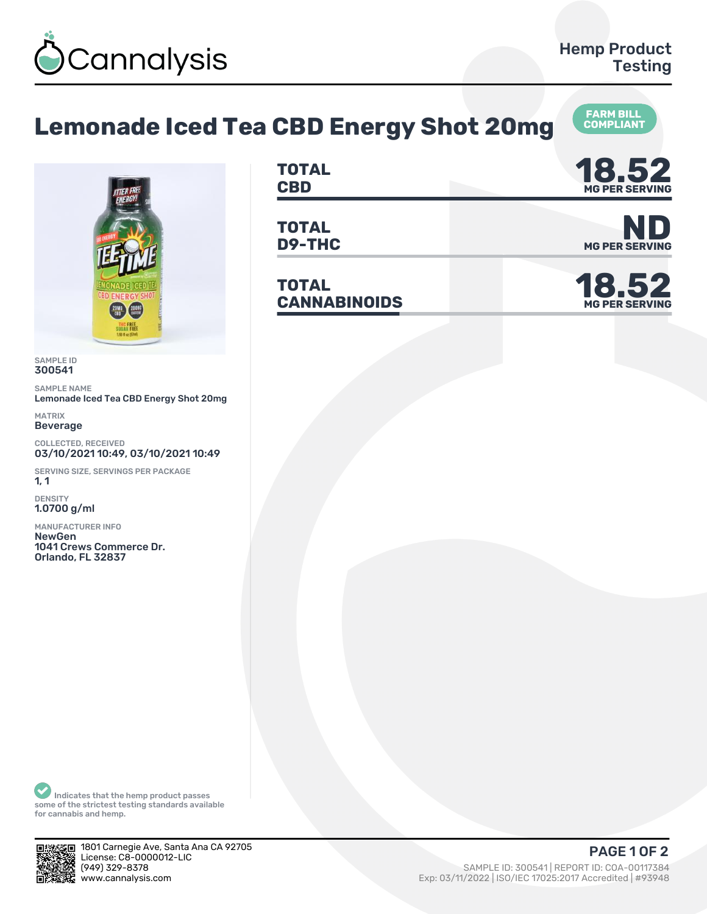

**COMPLIANT**

## **Lemonade Iced Tea CBD Energy Shot 20mg**



SAMPLE ID 300541

SAMPLE NAME Lemonade Iced Tea CBD Energy Shot 20mg

MATRIX Beverage

COLLECTED, RECEIVED 03/10/2021 10:49, 03/10/2021 10:49

SERVING SIZE, SERVINGS PER PACKAGE  $1, 1$ 

DENSITY 1.0700 g/ml

MANUFACTURER INFO **NewGen** 1041 Crews Commerce Dr. **Orlando, FL 32837** 

| TOTAL<br><b>CBD</b> | ИО ЕЛ<br>10.94<br><b>MG PER SERVING</b> |
|---------------------|-----------------------------------------|
|                     |                                         |

**TOTAL D9-THC** MG PER SERVING

**TOTAL CANNABINOIDS 18.52**



**MG PER SERVING**

Indicates that the hemp product passes some of the strictest testing standards available for cannabis and hemp.



1801 Carnegie Ave, Santa Ana CA 92705 License: C8-0000012-LIC<br>(949) 329-8378